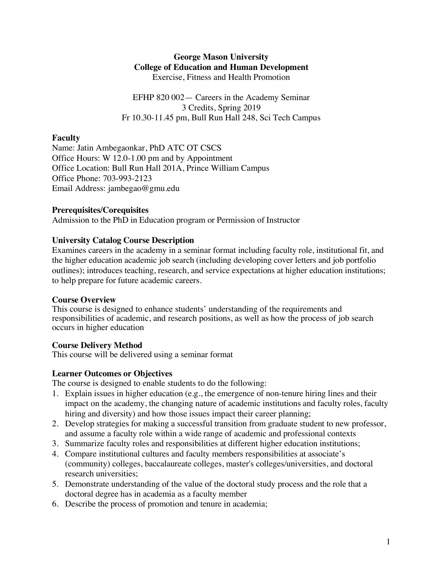### **George Mason University College of Education and Human Development** Exercise, Fitness and Health Promotion

EFHP 820 002— Careers in the Academy Seminar 3 Credits, Spring 2019 Fr 10.30-11.45 pm, Bull Run Hall 248, Sci Tech Campus

# **Faculty**

Name: Jatin Ambegaonkar, PhD ATC OT CSCS Office Hours: W 12.0-1.00 pm and by Appointment Office Location: Bull Run Hall 201A, Prince William Campus Office Phone: 703-993-2123 Email Address: jambegao@gmu.edu

# **Prerequisites/Corequisites**

Admission to the PhD in Education program or Permission of Instructor

# **University Catalog Course Description**

Examines careers in the academy in a seminar format including faculty role, institutional fit, and the higher education academic job search (including developing cover letters and job portfolio outlines); introduces teaching, research, and service expectations at higher education institutions; to help prepare for future academic careers.

# **Course Overview**

This course is designed to enhance students' understanding of the requirements and responsibilities of academic, and research positions, as well as how the process of job search occurs in higher education

# **Course Delivery Method**

This course will be delivered using a seminar format

# **Learner Outcomes or Objectives**

The course is designed to enable students to do the following:

- 1. Explain issues in higher education (e.g., the emergence of non-tenure hiring lines and their impact on the academy, the changing nature of academic institutions and faculty roles, faculty hiring and diversity) and how those issues impact their career planning;
- 2. Develop strategies for making a successful transition from graduate student to new professor, and assume a faculty role within a wide range of academic and professional contexts
- 3. Summarize faculty roles and responsibilities at different higher education institutions;
- 4. Compare institutional cultures and faculty members responsibilities at associate's (community) colleges, baccalaureate colleges, master's colleges/universities, and doctoral research universities;
- 5. Demonstrate understanding of the value of the doctoral study process and the role that a doctoral degree has in academia as a faculty member
- 6. Describe the process of promotion and tenure in academia;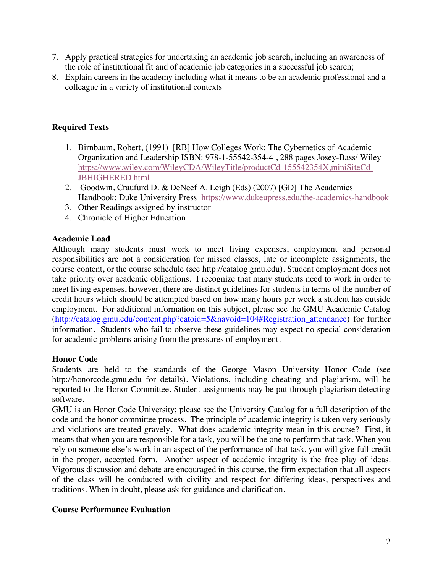- 7. Apply practical strategies for undertaking an academic job search, including an awareness of the role of institutional fit and of academic job categories in a successful job search;
- 8. Explain careers in the academy including what it means to be an academic professional and a colleague in a variety of institutional contexts

# **Required Texts**

- 1. Birnbaum, Robert, (1991) [RB] How Colleges Work: The Cybernetics of Academic Organization and Leadership ISBN: 978-1-55542-354-4 , 288 pages Josey-Bass/ Wiley https://www.wiley.com/WileyCDA/WileyTitle/productCd-155542354X,miniSiteCd-JBHIGHERED.html
- 2. Goodwin, Craufurd D. & DeNeef A. Leigh (Eds) (2007) [GD] The Academics Handbook: Duke University Press https://www.dukeupress.edu/the-academics-handbook
- 3. Other Readings assigned by instructor
- 4. Chronicle of Higher Education

# **Academic Load**

Although many students must work to meet living expenses, employment and personal responsibilities are not a consideration for missed classes, late or incomplete assignments, the course content, or the course schedule (see http://catalog.gmu.edu). Student employment does not take priority over academic obligations. I recognize that many students need to work in order to meet living expenses, however, there are distinct guidelines for students in terms of the number of credit hours which should be attempted based on how many hours per week a student has outside employment. For additional information on this subject, please see the GMU Academic Catalog (http://catalog.gmu.edu/content.php?catoid=5&navoid=104#Registration\_attendance) for further information. Students who fail to observe these guidelines may expect no special consideration for academic problems arising from the pressures of employment.

# **Honor Code**

Students are held to the standards of the George Mason University Honor Code (see http://honorcode.gmu.edu for details). Violations, including cheating and plagiarism, will be reported to the Honor Committee. Student assignments may be put through plagiarism detecting software.

GMU is an Honor Code University; please see the University Catalog for a full description of the code and the honor committee process. The principle of academic integrity is taken very seriously and violations are treated gravely. What does academic integrity mean in this course? First, it means that when you are responsible for a task, you will be the one to perform that task. When you rely on someone else's work in an aspect of the performance of that task, you will give full credit in the proper, accepted form. Another aspect of academic integrity is the free play of ideas. Vigorous discussion and debate are encouraged in this course, the firm expectation that all aspects of the class will be conducted with civility and respect for differing ideas, perspectives and traditions. When in doubt, please ask for guidance and clarification.

# **Course Performance Evaluation**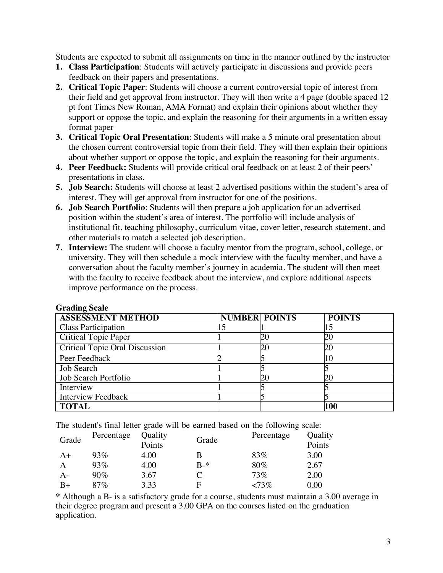Students are expected to submit all assignments on time in the manner outlined by the instructor

- **1. Class Participation**: Students will actively participate in discussions and provide peers feedback on their papers and presentations.
- **2. Critical Topic Paper**: Students will choose a current controversial topic of interest from their field and get approval from instructor. They will then write a 4 page (double spaced 12 pt font Times New Roman, AMA Format) and explain their opinions about whether they support or oppose the topic, and explain the reasoning for their arguments in a written essay format paper
- **3. Critical Topic Oral Presentation**: Students will make a 5 minute oral presentation about the chosen current controversial topic from their field. They will then explain their opinions about whether support or oppose the topic, and explain the reasoning for their arguments.
- **4. Peer Feedback:** Students will provide critical oral feedback on at least 2 of their peers' presentations in class.
- **5. Job Search:** Students will choose at least 2 advertised positions within the student's area of interest. They will get approval from instructor for one of the positions.
- **6. Job Search Portfolio**: Students will then prepare a job application for an advertised position within the student's area of interest. The portfolio will include analysis of institutional fit, teaching philosophy, curriculum vitae, cover letter, research statement, and other materials to match a selected job description.
- **7. Interview:** The student will choose a faculty mentor from the program, school, college, or university. They will then schedule a mock interview with the faculty member, and have a conversation about the faculty member's journey in academia. The student will then meet with the faculty to receive feedback about the interview, and explore additional aspects improve performance on the process.

| 5.00                                  |                      |    |               |
|---------------------------------------|----------------------|----|---------------|
| <b>ASSESSMENT METHOD</b>              | <b>NUMBER POINTS</b> |    | <b>POINTS</b> |
| <b>Class Participation</b>            |                      |    |               |
| <b>Critical Topic Paper</b>           |                      | 20 | 20            |
| <b>Critical Topic Oral Discussion</b> |                      | 20 | 20            |
| Peer Feedback                         |                      |    | 10            |
| Job Search                            |                      |    |               |
| Job Search Portfolio                  |                      | 20 | 20            |
| Interview                             |                      |    |               |
| <b>Interview Feedback</b>             |                      |    |               |
| <b>TOTAL</b>                          |                      |    | 100           |

### **Grading Scale**

The student's final letter grade will be earned based on the following scale:

| Grade | Percentage | Quality<br>Points | Grade | Percentage | Quality<br>Points |
|-------|------------|-------------------|-------|------------|-------------------|
| A+    | 93%        | 4.00              | В     | 83%        | 3.00              |
| A     | 93%        | 4.00              | $R-*$ | 80%        | 2.67              |
| A-    | 90%        | 3.67              |       | 73%        | 2.00              |
| B+    | 87%        | 3.33              | F     | $< 73\%$   | 0.00              |

**\*** Although a B- is a satisfactory grade for a course, students must maintain a 3.00 average in their degree program and present a 3.00 GPA on the courses listed on the graduation application.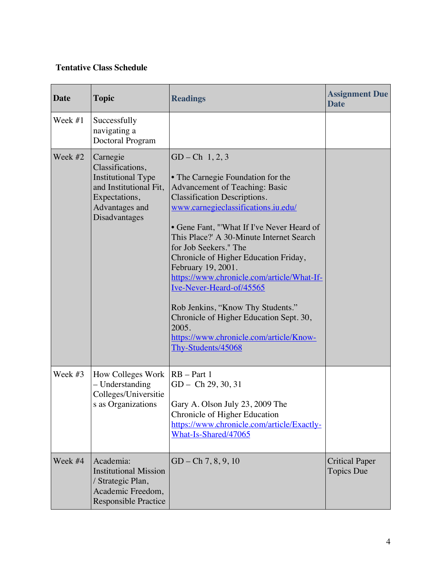# **Tentative Class Schedule**

| Date    | <b>Topic</b>                                                                                                                            | <b>Readings</b>                                                                                                                                                                                                                                                                                                                                                                                                                                                                                                                                                                              | <b>Assignment Due</b><br><b>Date</b>       |
|---------|-----------------------------------------------------------------------------------------------------------------------------------------|----------------------------------------------------------------------------------------------------------------------------------------------------------------------------------------------------------------------------------------------------------------------------------------------------------------------------------------------------------------------------------------------------------------------------------------------------------------------------------------------------------------------------------------------------------------------------------------------|--------------------------------------------|
| Week #1 | Successfully<br>navigating a<br>Doctoral Program                                                                                        |                                                                                                                                                                                                                                                                                                                                                                                                                                                                                                                                                                                              |                                            |
| Week #2 | Carnegie<br>Classifications,<br><b>Institutional Type</b><br>and Institutional Fit,<br>Expectations,<br>Advantages and<br>Disadvantages | $GD - Ch$ 1, 2, 3<br>• The Carnegie Foundation for the<br>Advancement of Teaching: Basic<br><b>Classification Descriptions.</b><br>www.carnegieclassifications.iu.edu/<br>• Gene Fant, "'What If I've Never Heard of<br>This Place?' A 30-Minute Internet Search<br>for Job Seekers." The<br>Chronicle of Higher Education Friday,<br>February 19, 2001.<br>https://www.chronicle.com/article/What-If-<br>Ive-Never-Heard-of/45565<br>Rob Jenkins, "Know Thy Students."<br>Chronicle of Higher Education Sept. 30,<br>2005.<br>https://www.chronicle.com/article/Know-<br>Thy-Students/45068 |                                            |
| Week #3 | How Colleges Work<br>- Understanding<br>Colleges/Universitie<br>s as Organizations                                                      | $RB - Part 1$<br>$GD - Ch$ 29, 30, 31<br>Gary A. Olson July 23, 2009 The<br>Chronicle of Higher Education<br>https://www.chronicle.com/article/Exactly-<br>What-Is-Shared/47065                                                                                                                                                                                                                                                                                                                                                                                                              |                                            |
| Week #4 | Academia:<br><b>Institutional Mission</b><br>/ Strategic Plan,<br>Academic Freedom,<br><b>Responsible Practice</b>                      | $GD - Ch 7, 8, 9, 10$                                                                                                                                                                                                                                                                                                                                                                                                                                                                                                                                                                        | <b>Critical Paper</b><br><b>Topics Due</b> |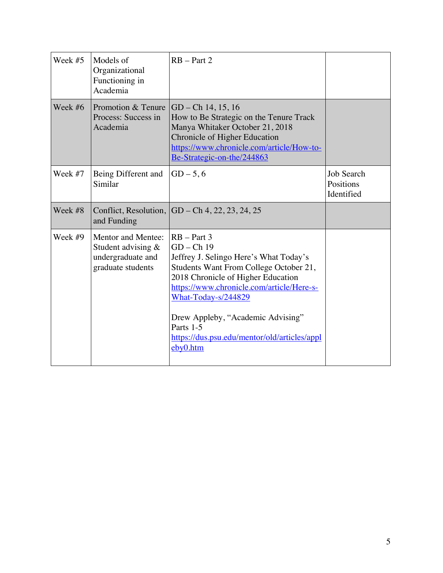| Week #5 | Models of<br>Organizational<br>Functioning in<br>Academia                            | $RB - Part 2$                                                                                                                                                                                                                                                                                                                             |                                              |
|---------|--------------------------------------------------------------------------------------|-------------------------------------------------------------------------------------------------------------------------------------------------------------------------------------------------------------------------------------------------------------------------------------------------------------------------------------------|----------------------------------------------|
| Week #6 | Promotion & Tenure<br>Process: Success in<br>Academia                                | $GD - Ch$ 14, 15, 16<br>How to Be Strategic on the Tenure Track<br>Manya Whitaker October 21, 2018<br>Chronicle of Higher Education<br>https://www.chronicle.com/article/How-to-<br>Be-Strategic-on-the/244863                                                                                                                            |                                              |
| Week #7 | Being Different and<br>Similar                                                       | $GD - 5, 6$                                                                                                                                                                                                                                                                                                                               | <b>Job Search</b><br>Positions<br>Identified |
| Week #8 | and Funding                                                                          | Conflict, Resolution, $ GD - Ch 4, 22, 23, 24, 25$                                                                                                                                                                                                                                                                                        |                                              |
| Week #9 | Mentor and Mentee:<br>Student advising $&$<br>undergraduate and<br>graduate students | $RB - Part 3$<br>$GD - Ch$ 19<br>Jeffrey J. Selingo Here's What Today's<br>Students Want From College October 21,<br>2018 Chronicle of Higher Education<br>https://www.chronicle.com/article/Here-s-<br>What-Today-s/244829<br>Drew Appleby, "Academic Advising"<br>Parts 1-5<br>https://dus.psu.edu/mentor/old/articles/appl<br>eby0.htm |                                              |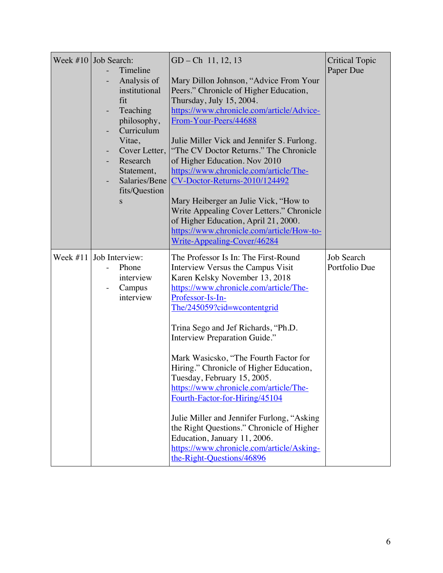| Week $\#10$ Job Search:<br>Timeline<br>Analysis of<br>institutional<br>fit<br>Teaching<br>philosophy,<br>Curriculum<br>Vitae,<br>Cover Letter,<br>Research<br>Statement,<br>Salaries/Bene<br>fits/Question<br>S | $GD - Ch$ 11, 12, 13<br>Mary Dillon Johnson, "Advice From Your<br>Peers." Chronicle of Higher Education,<br>Thursday, July 15, 2004.<br>https://www.chronicle.com/article/Advice-<br>From-Your-Peers/44688<br>Julie Miller Vick and Jennifer S. Furlong.<br>"The CV Doctor Returns." The Chronicle<br>of Higher Education. Nov 2010<br>https://www.chronicle.com/article/The-<br>CV-Doctor-Returns-2010/124492<br>Mary Heiberger an Julie Vick, "How to<br>Write Appealing Cover Letters." Chronicle<br>of Higher Education, April 21, 2000.<br>https://www.chronicle.com/article/How-to-<br>Write-Appealing-Cover/46284                                                             | <b>Critical Topic</b><br>Paper Due |
|-----------------------------------------------------------------------------------------------------------------------------------------------------------------------------------------------------------------|--------------------------------------------------------------------------------------------------------------------------------------------------------------------------------------------------------------------------------------------------------------------------------------------------------------------------------------------------------------------------------------------------------------------------------------------------------------------------------------------------------------------------------------------------------------------------------------------------------------------------------------------------------------------------------------|------------------------------------|
| Week $\#11$ Job Interview:<br>Phone<br>interview<br>Campus<br>interview                                                                                                                                         | The Professor Is In: The First-Round<br>Interview Versus the Campus Visit<br>Karen Kelsky November 13, 2018<br>https://www.chronicle.com/article/The-<br>Professor-Is-In-<br>The/245059?cid=wcontentgrid<br>Trina Sego and Jef Richards, "Ph.D.<br>Interview Preparation Guide."<br>Mark Wasicsko, "The Fourth Factor for<br>Hiring." Chronicle of Higher Education,<br>Tuesday, February 15, 2005.<br>https://www.chronicle.com/article/The-<br>Fourth-Factor-for-Hiring/45104<br>Julie Miller and Jennifer Furlong, "Asking<br>the Right Questions." Chronicle of Higher<br>Education, January 11, 2006.<br>https://www.chronicle.com/article/Asking-<br>the-Right-Questions/46896 | <b>Job Search</b><br>Portfolio Due |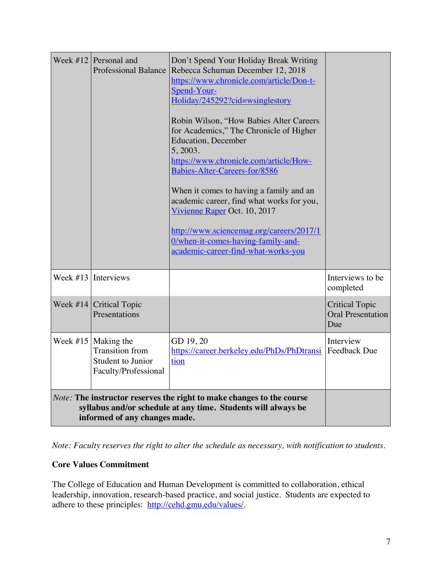|                                                                                                                                                                         | Week $\#12$ Personal and<br>Professional Balance                                             | Don't Spend Your Holiday Break Writing<br>Rebecca Schuman December 12, 2018<br>https://www.chronicle.com/article/Don-t-<br>Spend-Your-<br>Holiday/245292?cid=wsinglestory<br>Robin Wilson, "How Babies Alter Careers<br>for Academics," The Chronicle of Higher<br><b>Education</b> , December<br>5, 2003.<br>https://www.chronicle.com/article/How-<br>Babies-Alter-Careers-for/8586<br>When it comes to having a family and an<br>academic career, find what works for you,<br>Vivienne Raper Oct. 10, 2017<br>http://www.sciencemag.org/careers/2017/1<br>O/when-it-comes-having-family-and-<br>academic-career-find-what-works-you |                                                          |
|-------------------------------------------------------------------------------------------------------------------------------------------------------------------------|----------------------------------------------------------------------------------------------|----------------------------------------------------------------------------------------------------------------------------------------------------------------------------------------------------------------------------------------------------------------------------------------------------------------------------------------------------------------------------------------------------------------------------------------------------------------------------------------------------------------------------------------------------------------------------------------------------------------------------------------|----------------------------------------------------------|
|                                                                                                                                                                         | Week $\#13$ Interviews                                                                       |                                                                                                                                                                                                                                                                                                                                                                                                                                                                                                                                                                                                                                        | Interviews to be<br>completed                            |
| Week $#14$                                                                                                                                                              | <b>Critical Topic</b><br>Presentations                                                       |                                                                                                                                                                                                                                                                                                                                                                                                                                                                                                                                                                                                                                        | <b>Critical Topic</b><br><b>Oral Presentation</b><br>Due |
|                                                                                                                                                                         | Week $#15$ Making the<br><b>Transition</b> from<br>Student to Junior<br>Faculty/Professional | GD 19, 20<br>https://career.berkeley.edu/PhDs/PhDtransi<br>tion                                                                                                                                                                                                                                                                                                                                                                                                                                                                                                                                                                        | Interview<br><b>Feedback Due</b>                         |
| Note: The instructor reserves the right to make changes to the course<br>syllabus and/or schedule at any time. Students will always be<br>informed of any changes made. |                                                                                              |                                                                                                                                                                                                                                                                                                                                                                                                                                                                                                                                                                                                                                        |                                                          |

*Note: Faculty reserves the right to alter the schedule as necessary, with notification to students.*

# **Core Values Commitment**

The College of Education and Human Development is committed to collaboration, ethical leadership, innovation, research-based practice, and social justice. Students are expected to adhere to these principles: http://cehd.gmu.edu/values/.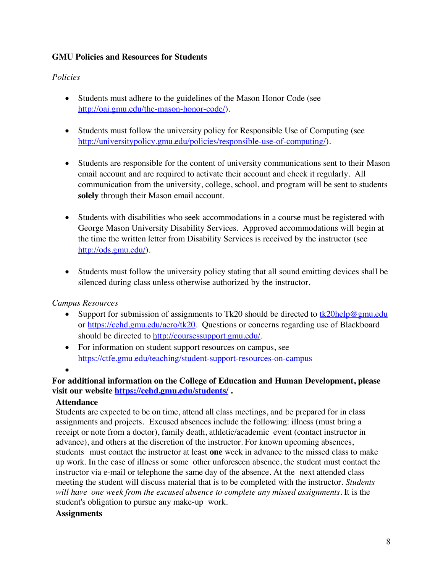## **GMU Policies and Resources for Students**

### *Policies*

- Students must adhere to the guidelines of the Mason Honor Code (see http://oai.gmu.edu/the-mason-honor-code/).
- Students must follow the university policy for Responsible Use of Computing (see http://universitypolicy.gmu.edu/policies/responsible-use-of-computing/).
- Students are responsible for the content of university communications sent to their Mason email account and are required to activate their account and check it regularly. All communication from the university, college, school, and program will be sent to students **solely** through their Mason email account.
- Students with disabilities who seek accommodations in a course must be registered with George Mason University Disability Services. Approved accommodations will begin at the time the written letter from Disability Services is received by the instructor (see http://ods.gmu.edu/).
- Students must follow the university policy stating that all sound emitting devices shall be silenced during class unless otherwise authorized by the instructor.

# *Campus Resources*

- Support for submission of assignments to Tk20 should be directed to  $\frac{tk20\text{help@gmu.edu}}{tk20\text{help@gmu.edu}}$ or https://cehd.gmu.edu/aero/tk20. Questions or concerns regarding use of Blackboard should be directed to http://coursessupport.gmu.edu/.
- For information on student support resources on campus, see https://ctfe.gmu.edu/teaching/student-support-resources-on-campus
- •

# **For additional information on the College of Education and Human Development, please visit our website https://cehd.gmu.edu/students/ .**

### **Attendance**

Students are expected to be on time, attend all class meetings, and be prepared for in class assignments and projects. Excused absences include the following: illness (must bring a receipt or note from a doctor), family death, athletic/academic event (contact instructor in advance), and others at the discretion of the instructor. For known upcoming absences, students must contact the instructor at least **one** week in advance to the missed class to make up work. In the case of illness or some other unforeseen absence, the student must contact the instructor via e-mail or telephone the same day of the absence. At the next attended class meeting the student will discuss material that is to be completed with the instructor. *Students will have one week from the excused absence to complete any missed assignments.* It is the student's obligation to pursue any make-up work.

### **Assignments**